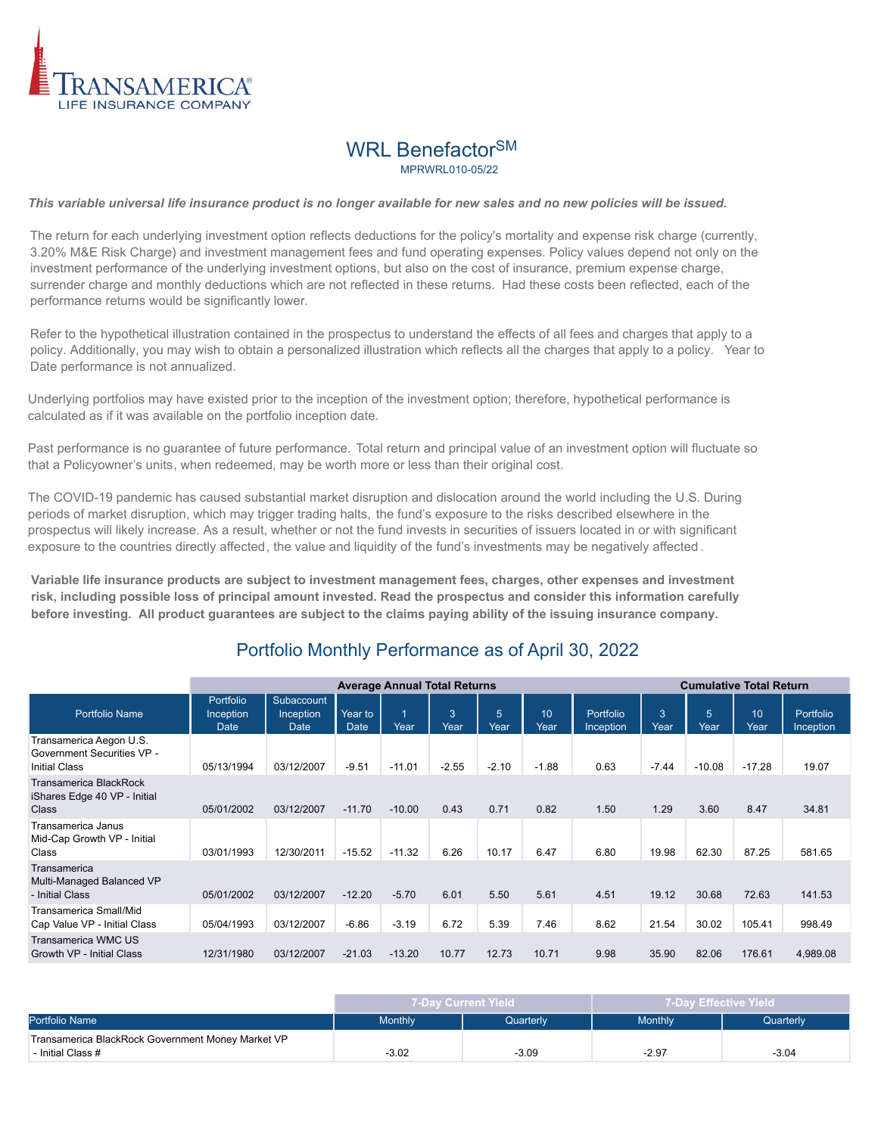

## WRL Benefactor<sup>SM</sup> MPRWRI 010-05/22

*This variable universal life insurance product is no longer available for new sales and no new policies will be issued.*

The return for each underlying investment option reflects deductions for the policy's mortality and expense risk charge (currently, 3.20% M&E Risk Charge) and investment management fees and fund operating expenses. Policy values depend not only on the investment performance of the underlying investment options, but also on the cost of insurance, premium expense charge, surrender charge and monthly deductions which are not reflected in these returns. Had these costs been reflected, each of the performance returns would be significantly lower.

Refer to the hypothetical illustration contained in the prospectus to understand the effects of all fees and charges that apply to a policy. Additionally, you may wish to obtain a personalized illustration which reflects all the charges that apply to a policy. Year to Date performance is not annualized.

Underlying portfolios may have existed prior to the inception of the investment option; therefore, hypothetical performance is calculated as if it was available on the portfolio inception date.

Past performance is no guarantee of future performance. Total return and principal value of an investment option will fluctuate so that a Policyowner's units, when redeemed, may be worth more or less than their original cost.

The COVID-19 pandemic has caused substantial market disruption and dislocation around the world including the U.S. During periods of market disruption, which may trigger trading halts, the fund's exposure to the risks described elsewhere in the prospectus will likely increase. As a result, whether or not the fund invests in securities of issuers located in or with significant exposure to the countries directly affected, the value and liquidity of the fund's investments may be negatively affected .

**Variable life insurance products are subject to investment management fees, charges, other expenses and investment risk, including possible loss of principal amount invested. Read the prospectus and consider this information carefully before investing. All product guarantees are subject to the claims paying ability of the issuing insurance company.**

|                                                                               |                                |                                        |                        | <b>Average Annual Total Returns</b> |                          |                         |            |                        |                               |           | <b>Cumulative Total Return</b> |                               |
|-------------------------------------------------------------------------------|--------------------------------|----------------------------------------|------------------------|-------------------------------------|--------------------------|-------------------------|------------|------------------------|-------------------------------|-----------|--------------------------------|-------------------------------|
| <b>Portfolio Name</b>                                                         | Portfolio<br>Inception<br>Date | Subaccount<br>Inception<br><b>Date</b> | Year to<br><b>Date</b> | 1<br>Year                           | $\left 3\right>$<br>Year | $5\overline{5}$<br>Year | 10<br>Year | Portfolio<br>Inception | $\mathbf{3}^{\prime}$<br>Year | 5<br>Year | 10<br>Year                     | <b>Portfolio</b><br>Inception |
| Transamerica Aegon U.S.<br>Government Securities VP -<br><b>Initial Class</b> | 05/13/1994                     | 03/12/2007                             | $-9.51$                | $-11.01$                            | $-2.55$                  | $-2.10$                 | $-1.88$    | 0.63                   | $-7.44$                       | $-10.08$  | $-17.28$                       | 19.07                         |
| Transamerica BlackRock<br>iShares Edge 40 VP - Initial<br>Class               | 05/01/2002                     | 03/12/2007                             | $-11.70$               | $-10.00$                            | 0.43                     | 0.71                    | 0.82       | 1.50                   | 1.29                          | 3.60      | 8.47                           | 34.81                         |
| Transamerica Janus<br>Mid-Cap Growth VP - Initial<br>Class                    | 03/01/1993                     | 12/30/2011                             | $-15.52$               | $-11.32$                            | 6.26                     | 10.17                   | 6.47       | 6.80                   | 19.98                         | 62.30     | 87.25                          | 581.65                        |
| Transamerica<br>Multi-Managed Balanced VP<br>- Initial Class                  | 05/01/2002                     | 03/12/2007                             | $-12.20$               | $-5.70$                             | 6.01                     | 5.50                    | 5.61       | 4.51                   | 19.12                         | 30.68     | 72.63                          | 141.53                        |
| Transamerica Small/Mid<br>Cap Value VP - Initial Class                        | 05/04/1993                     | 03/12/2007                             | $-6.86$                | $-3.19$                             | 6.72                     | 5.39                    | 7.46       | 8.62                   | 21.54                         | 30.02     | 105.41                         | 998.49                        |
| Transamerica WMC US<br>Growth VP - Initial Class                              | 12/31/1980                     | 03/12/2007                             | $-21.03$               | $-13.20$                            | 10.77                    | 12.73                   | 10.71      | 9.98                   | 35.90                         | 82.06     | 176.61                         | 4,989.08                      |

## Portfolio Monthly Performance as of April 30, 2022

|                                                   |                | 7-Day Current Yield | 7-Day Effective Yield |           |  |
|---------------------------------------------------|----------------|---------------------|-----------------------|-----------|--|
| Portfolio Name                                    | <b>Monthly</b> | Quarterly           | <b>Monthly</b>        | Quarterly |  |
| Transamerica BlackRock Government Money Market VP |                |                     |                       |           |  |
| - Initial Class #                                 | $-3.02$        | $-3.09$             | $-2.97$               | $-3.04$   |  |